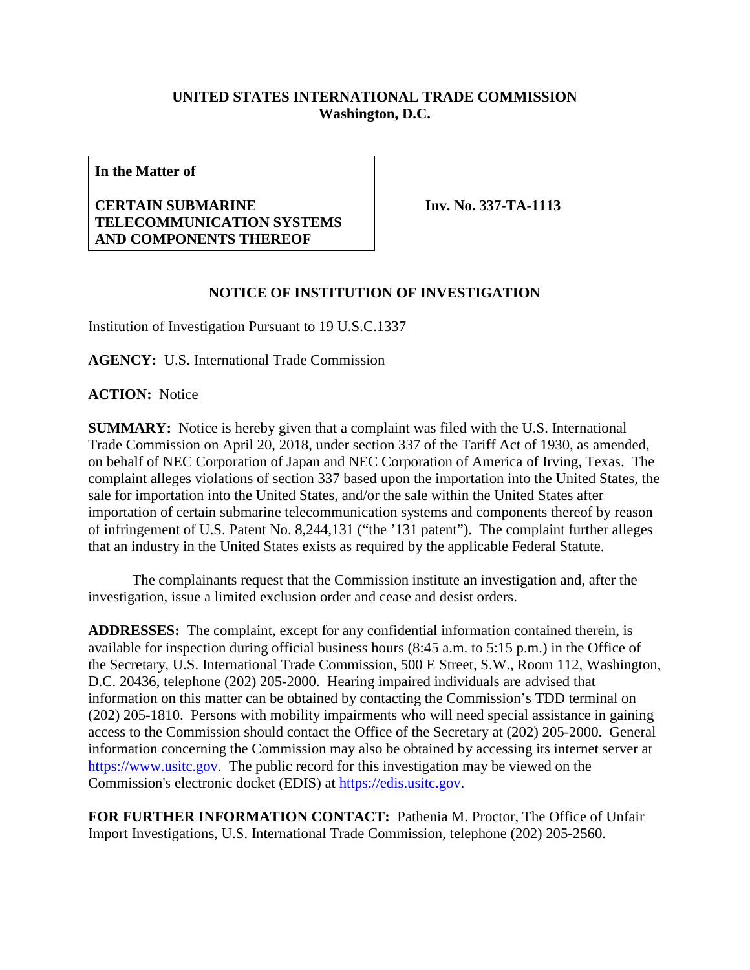## **UNITED STATES INTERNATIONAL TRADE COMMISSION Washington, D.C.**

**In the Matter of**

## **CERTAIN SUBMARINE TELECOMMUNICATION SYSTEMS AND COMPONENTS THEREOF**

**Inv. No. 337-TA-1113**

## **NOTICE OF INSTITUTION OF INVESTIGATION**

Institution of Investigation Pursuant to 19 U.S.C.1337

**AGENCY:** U.S. International Trade Commission

**ACTION:** Notice

**SUMMARY:** Notice is hereby given that a complaint was filed with the U.S. International Trade Commission on April 20, 2018, under section 337 of the Tariff Act of 1930, as amended, on behalf of NEC Corporation of Japan and NEC Corporation of America of Irving, Texas. The complaint alleges violations of section 337 based upon the importation into the United States, the sale for importation into the United States, and/or the sale within the United States after importation of certain submarine telecommunication systems and components thereof by reason of infringement of U.S. Patent No. 8,244,131 ("the '131 patent"). The complaint further alleges that an industry in the United States exists as required by the applicable Federal Statute.

The complainants request that the Commission institute an investigation and, after the investigation, issue a limited exclusion order and cease and desist orders.

**ADDRESSES:** The complaint, except for any confidential information contained therein, is available for inspection during official business hours (8:45 a.m. to 5:15 p.m.) in the Office of the Secretary, U.S. International Trade Commission, 500 E Street, S.W., Room 112, Washington, D.C. 20436, telephone (202) 205-2000. Hearing impaired individuals are advised that information on this matter can be obtained by contacting the Commission's TDD terminal on (202) 205-1810. Persons with mobility impairments who will need special assistance in gaining access to the Commission should contact the Office of the Secretary at (202) 205-2000. General information concerning the Commission may also be obtained by accessing its internet server at [https://www.usitc.gov.](https://www.usitc.gov/) The public record for this investigation may be viewed on the Commission's electronic docket (EDIS) at [https://edis.usitc.gov.](https://edis.usitc.gov/)

**FOR FURTHER INFORMATION CONTACT:** Pathenia M. Proctor, The Office of Unfair Import Investigations, U.S. International Trade Commission, telephone (202) 205-2560.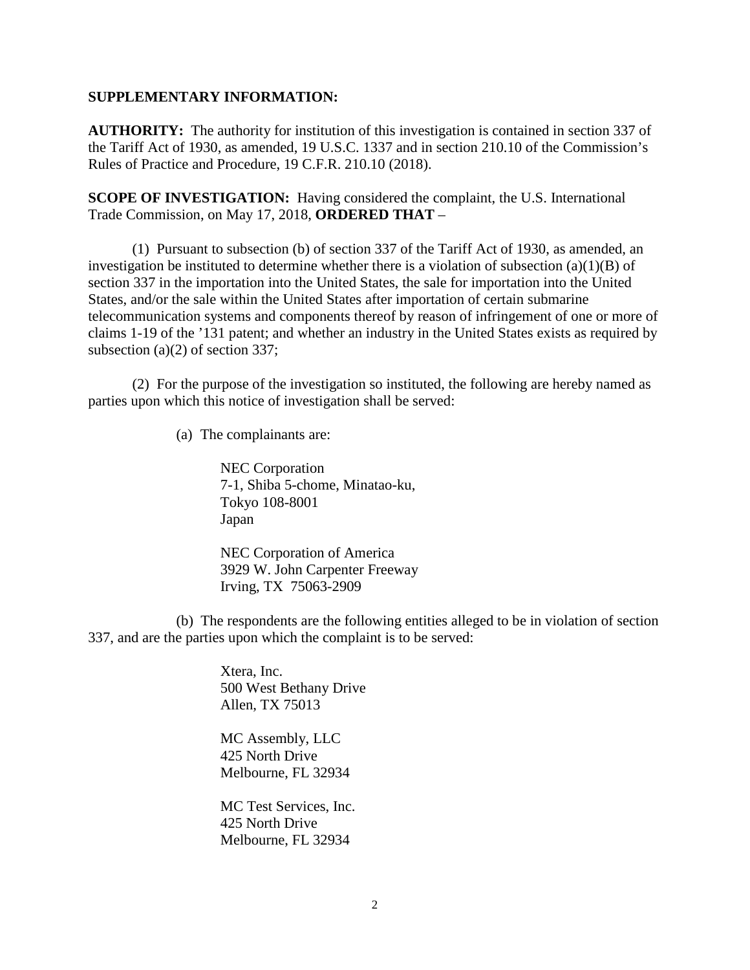## **SUPPLEMENTARY INFORMATION:**

**AUTHORITY:** The authority for institution of this investigation is contained in section 337 of the Tariff Act of 1930, as amended, 19 U.S.C. 1337 and in section 210.10 of the Commission's Rules of Practice and Procedure, 19 C.F.R. 210.10 (2018).

**SCOPE OF INVESTIGATION:** Having considered the complaint, the U.S. International Trade Commission, on May 17, 2018, **ORDERED THAT** –

(1) Pursuant to subsection (b) of section 337 of the Tariff Act of 1930, as amended, an investigation be instituted to determine whether there is a violation of subsection (a)(1)(B) of section 337 in the importation into the United States, the sale for importation into the United States, and/or the sale within the United States after importation of certain submarine telecommunication systems and components thereof by reason of infringement of one or more of claims 1-19 of the '131 patent; and whether an industry in the United States exists as required by subsection (a)(2) of section 337;

(2) For the purpose of the investigation so instituted, the following are hereby named as parties upon which this notice of investigation shall be served:

(a) The complainants are:

NEC Corporation 7-1, Shiba 5-chome, Minatao-ku, Tokyo 108-8001 Japan

NEC Corporation of America 3929 W. John Carpenter Freeway Irving, TX 75063-2909

(b) The respondents are the following entities alleged to be in violation of section 337, and are the parties upon which the complaint is to be served:

> Xtera, Inc. 500 West Bethany Drive Allen, TX 75013

MC Assembly, LLC 425 North Drive Melbourne, FL 32934

MC Test Services, Inc. 425 North Drive Melbourne, FL 32934